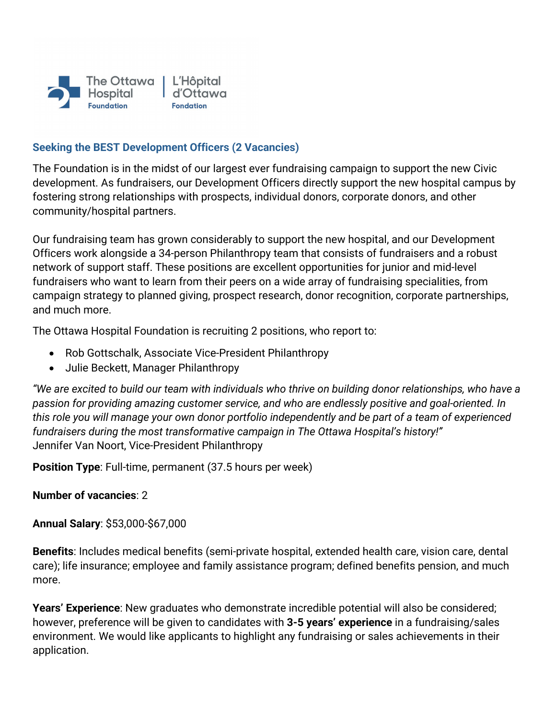

### **Seeking the BEST Development Officers (2 Vacancies)**

The Foundation is in the midst of our largest ever fundraising campaign to support the new Civic development. As fundraisers, our Development Officers directly support the new hospital campus by fostering strong relationships with prospects, individual donors, corporate donors, and other community/hospital partners.

Our fundraising team has grown considerably to support the new hospital, and our Development Officers work alongside a 34-person Philanthropy team that consists of fundraisers and a robust network of support staff. These positions are excellent opportunities for junior and mid-level fundraisers who want to learn from their peers on a wide array of fundraising specialities, from campaign strategy to planned giving, prospect research, donor recognition, corporate partnerships, and much more.

The Ottawa Hospital Foundation is recruiting 2 positions, who report to:

- Rob Gottschalk, Associate Vice-President Philanthropy
- Julie Beckett, Manager Philanthropy

*"We are excited to build our team with individuals who thrive on building donor relationships, who have a passion for providing amazing customer service, and who are endlessly positive and goal-oriented. In this role you will manage your own donor portfolio independently and be part of a team of experienced fundraisers during the most transformative campaign in The Ottawa Hospital's history!"* Jennifer Van Noort, Vice-President Philanthropy

**Position Type**: Full-time, permanent (37.5 hours per week)

#### **Number of vacancies**: 2

**Annual Salary**: \$53,000-\$67,000

**Benefits**: Includes medical benefits (semi-private hospital, extended health care, vision care, dental care); life insurance; employee and family assistance program; defined benefits pension, and much more.

**Years' Experience**: New graduates who demonstrate incredible potential will also be considered; however, preference will be given to candidates with **3-5 years' experience** in a fundraising/sales environment. We would like applicants to highlight any fundraising or sales achievements in their application.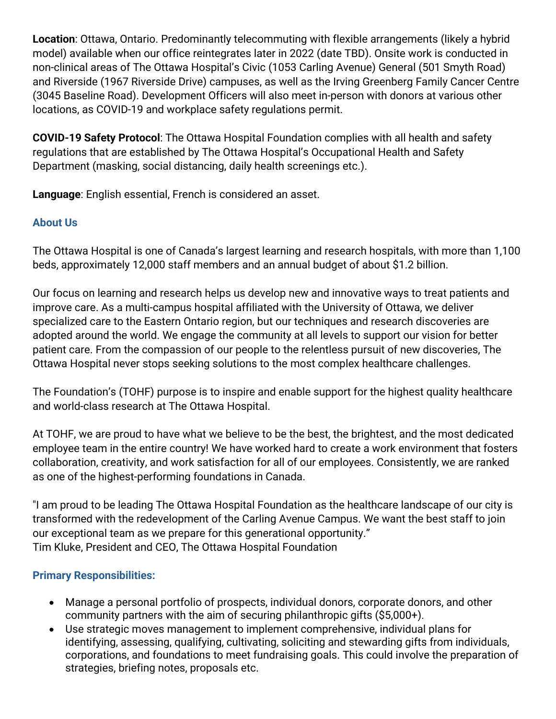**Location**: Ottawa, Ontario. Predominantly telecommuting with flexible arrangements (likely a hybrid model) available when our office reintegrates later in 2022 (date TBD). Onsite work is conducted in non-clinical areas of The Ottawa Hospital's Civic (1053 Carling Avenue) General (501 Smyth Road) and Riverside (1967 Riverside Drive) campuses, as well as the Irving Greenberg Family Cancer Centre (3045 Baseline Road). Development Officers will also meet in-person with donors at various other locations, as COVID-19 and workplace safety regulations permit.

**COVID-19 Safety Protocol**: The Ottawa Hospital Foundation complies with all health and safety regulations that are established by The Ottawa Hospital's Occupational Health and Safety Department (masking, social distancing, daily health screenings etc.).

**Language**: English essential, French is considered an asset.

# **About Us**

The Ottawa Hospital is one of Canada's largest learning and research hospitals, with more than 1,100 beds, approximately 12,000 staff members and an annual budget of about \$1.2 billion.

Our focus on learning and research helps us develop new and innovative ways to treat patients and improve care. As a multi-campus hospital affiliated with the University of Ottawa, we deliver specialized care to the Eastern Ontario region, but our techniques and research discoveries are adopted around the world. We engage the community at all levels to support our vision for better patient care. From the compassion of our people to the relentless pursuit of new discoveries, The Ottawa Hospital never stops seeking solutions to the most complex healthcare challenges.

The Foundation's (TOHF) purpose is to inspire and enable support for the highest quality healthcare and world-class research at The Ottawa Hospital.

At TOHF, we are proud to have what we believe to be the best, the brightest, and the most dedicated employee team in the entire country! We have worked hard to create a work environment that fosters collaboration, creativity, and work satisfaction for all of our employees. Consistently, we are ranked as one of the highest-performing foundations in Canada.

"I am proud to be leading The Ottawa Hospital Foundation as the healthcare landscape of our city is transformed with the redevelopment of the Carling Avenue Campus. We want the best staff to join our exceptional team as we prepare for this generational opportunity." Tim Kluke, President and CEO, The Ottawa Hospital Foundation

## **Primary Responsibilities:**

- Manage a personal portfolio of prospects, individual donors, corporate donors, and other community partners with the aim of securing philanthropic gifts (\$5,000+).
- Use strategic moves management to implement comprehensive, individual plans for identifying, assessing, qualifying, cultivating, soliciting and stewarding gifts from individuals, corporations, and foundations to meet fundraising goals. This could involve the preparation of strategies, briefing notes, proposals etc.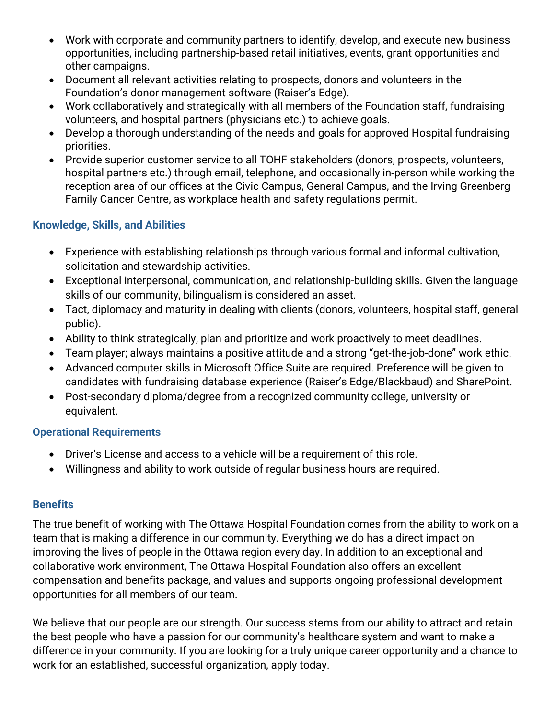- Work with corporate and community partners to identify, develop, and execute new business opportunities, including partnership-based retail initiatives, events, grant opportunities and other campaigns.
- Document all relevant activities relating to prospects, donors and volunteers in the Foundation's donor management software (Raiser's Edge).
- Work collaboratively and strategically with all members of the Foundation staff, fundraising volunteers, and hospital partners (physicians etc.) to achieve goals.
- Develop a thorough understanding of the needs and goals for approved Hospital fundraising priorities.
- Provide superior customer service to all TOHF stakeholders (donors, prospects, volunteers, hospital partners etc.) through email, telephone, and occasionally in-person while working the reception area of our offices at the Civic Campus, General Campus, and the Irving Greenberg Family Cancer Centre, as workplace health and safety regulations permit.

## **Knowledge, Skills, and Abilities**

- Experience with establishing relationships through various formal and informal cultivation, solicitation and stewardship activities.
- Exceptional interpersonal, communication, and relationship-building skills. Given the language skills of our community, bilingualism is considered an asset.
- Tact, diplomacy and maturity in dealing with clients (donors, volunteers, hospital staff, general public).
- Ability to think strategically, plan and prioritize and work proactively to meet deadlines.
- Team player; always maintains a positive attitude and a strong "get-the-job-done" work ethic.
- Advanced computer skills in Microsoft Office Suite are required. Preference will be given to candidates with fundraising database experience (Raiser's Edge/Blackbaud) and SharePoint.
- Post-secondary diploma/degree from a recognized community college, university or equivalent.

## **Operational Requirements**

- Driver's License and access to a vehicle will be a requirement of this role.
- Willingness and ability to work outside of regular business hours are required.

#### **Benefits**

The true benefit of working with The Ottawa Hospital Foundation comes from the ability to work on a team that is making a difference in our community. Everything we do has a direct impact on improving the lives of people in the Ottawa region every day. In addition to an exceptional and collaborative work environment, The Ottawa Hospital Foundation also offers an excellent compensation and benefits package, and values and supports ongoing professional development opportunities for all members of our team.

We believe that our people are our strength. Our success stems from our ability to attract and retain the best people who have a passion for our community's healthcare system and want to make a difference in your community. If you are looking for a truly unique career opportunity and a chance to work for an established, successful organization, apply today.